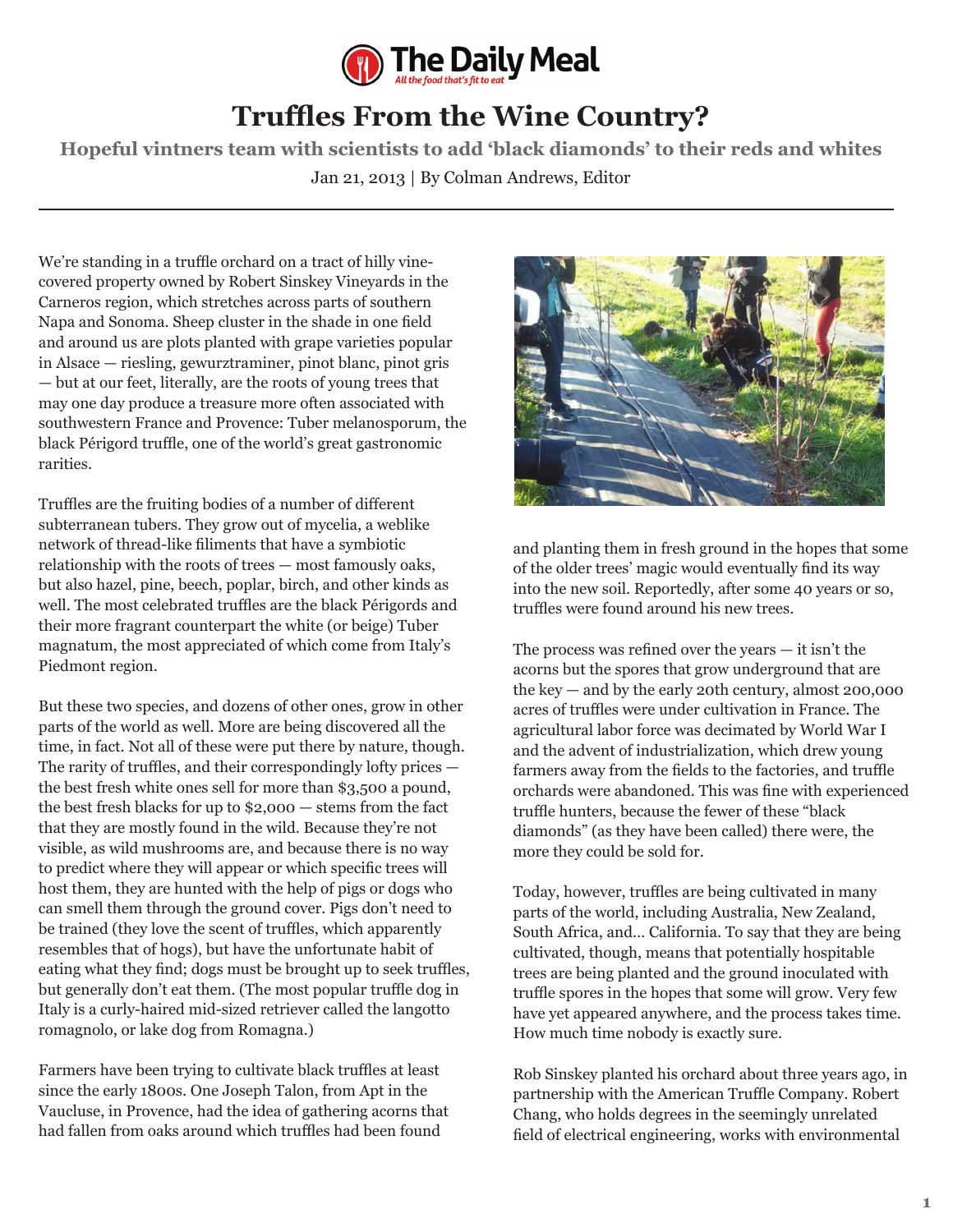

## **Truffles From the Wine Country?**

**Hopeful vintners team with scientists to add 'black diamonds' to their reds and whites** Jan 21, 2013 | By Colman Andrews, Editor

We're standing in a truffle orchard on a tract of hilly vinecovered property owned by Robert Sinskey Vineyards in the Carneros region, which stretches across parts of southern Napa and Sonoma. Sheep cluster in the shade in one field and around us are plots planted with grape varieties popular in Alsace — riesling, gewurztraminer, pinot blanc, pinot gris — but at our feet, literally, are the roots of young trees that may one day produce a treasure more often associated with southwestern France and Provence: Tuber melanosporum, the black Périgord truffle, one of the world's great gastronomic rarities.

Truffles are the fruiting bodies of a number of different subterranean tubers. They grow out of mycelia, a weblike network of thread-like filiments that have a symbiotic relationship with the roots of trees — most famously oaks, but also hazel, pine, beech, poplar, birch, and other kinds as well. The most celebrated truffles are the black Périgords and their more fragrant counterpart the white (or beige) Tuber magnatum, the most appreciated of which come from Italy's Piedmont region.

But these two species, and dozens of other ones, grow in other parts of the world as well. More are being discovered all the time, in fact. Not all of these were put there by nature, though. The rarity of truffles, and their correspondingly lofty prices the best fresh white ones sell for more than \$3,500 a pound, the best fresh blacks for up to \$2,000 — stems from the fact that they are mostly found in the wild. Because they're not visible, as wild mushrooms are, and because there is no way to predict where they will appear or which specific trees will host them, they are hunted with the help of pigs or dogs who can smell them through the ground cover. Pigs don't need to be trained (they love the scent of truffles, which apparently resembles that of hogs), but have the unfortunate habit of eating what they find; dogs must be brought up to seek truffles, but generally don't eat them. (The most popular truffle dog in Italy is a curly-haired mid-sized retriever called the langotto romagnolo, or lake dog from Romagna.)

Farmers have been trying to cultivate black truffles at least since the early 1800s. One Joseph Talon, from Apt in the Vaucluse, in Provence, had the idea of gathering acorns that had fallen from oaks around which truffles had been found



and planting them in fresh ground in the hopes that some of the older trees' magic would eventually find its way into the new soil. Reportedly, after some 40 years or so, truffles were found around his new trees.

The process was refined over the years — it isn't the acorns but the spores that grow underground that are the key — and by the early 20th century, almost 200,000 acres of truffles were under cultivation in France. The agricultural labor force was decimated by World War I and the advent of industrialization, which drew young farmers away from the fields to the factories, and truffle orchards were abandoned. This was fine with experienced truffle hunters, because the fewer of these "black diamonds" (as they have been called) there were, the more they could be sold for.

Today, however, truffles are being cultivated in many parts of the world, including Australia, New Zealand, South Africa, and… California. To say that they are being cultivated, though, means that potentially hospitable trees are being planted and the ground inoculated with truffle spores in the hopes that some will grow. Very few have yet appeared anywhere, and the process takes time. How much time nobody is exactly sure.

Rob Sinskey planted his orchard about three years ago, in partnership with the American Truffle Company. Robert Chang, who holds degrees in the seemingly unrelated field of electrical engineering, works with environmental